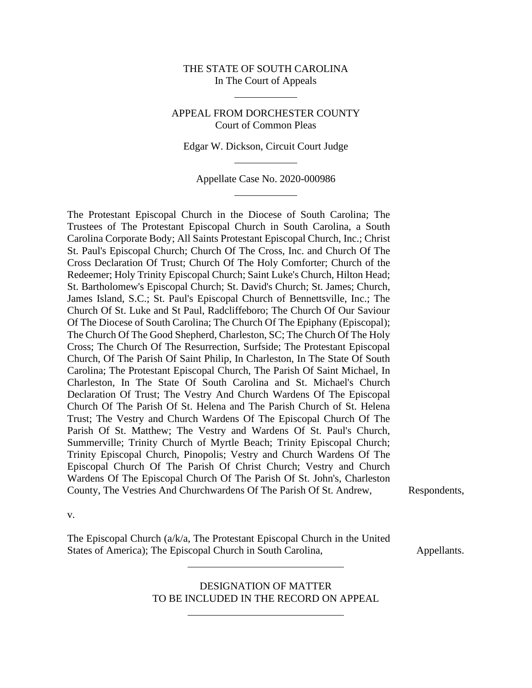# THE STATE OF SOUTH CAROLINA In The Court of Appeals

## APPEAL FROM DORCHESTER COUNTY Court of Common Pleas

Edgar W. Dickson, Circuit Court Judge

Appellate Case No. 2020-000986

The Protestant Episcopal Church in the Diocese of South Carolina; The Trustees of The Protestant Episcopal Church in South Carolina, a South Carolina Corporate Body; All Saints Protestant Episcopal Church, Inc.; Christ St. Paul's Episcopal Church; Church Of The Cross, Inc. and Church Of The Cross Declaration Of Trust; Church Of The Holy Comforter; Church of the Redeemer; Holy Trinity Episcopal Church; Saint Luke's Church, Hilton Head; St. Bartholomew's Episcopal Church; St. David's Church; St. James; Church, James Island, S.C.; St. Paul's Episcopal Church of Bennettsville, Inc.; The Church Of St. Luke and St Paul, Radcliffeboro; The Church Of Our Saviour Of The Diocese of South Carolina; The Church Of The Epiphany (Episcopal); The Church Of The Good Shepherd, Charleston, SC; The Church Of The Holy Cross; The Church Of The Resurrection, Surfside; The Protestant Episcopal Church, Of The Parish Of Saint Philip, In Charleston, In The State Of South Carolina; The Protestant Episcopal Church, The Parish Of Saint Michael, In Charleston, In The State Of South Carolina and St. Michael's Church Declaration Of Trust; The Vestry And Church Wardens Of The Episcopal Church Of The Parish Of St. Helena and The Parish Church of St. Helena Trust; The Vestry and Church Wardens Of The Episcopal Church Of The Parish Of St. Matthew; The Vestry and Wardens Of St. Paul's Church, Summerville; Trinity Church of Myrtle Beach; Trinity Episcopal Church; Trinity Episcopal Church, Pinopolis; Vestry and Church Wardens Of The Episcopal Church Of The Parish Of Christ Church; Vestry and Church Wardens Of The Episcopal Church Of The Parish Of St. John's, Charleston County, The Vestries And Churchwardens Of The Parish Of St. Andrew, Respondents,

v.

The Episcopal Church (a/k/a, The Protestant Episcopal Church in the United States of America); The Episcopal Church in South Carolina, Appellants.

DESIGNATION OF MATTER TO BE INCLUDED IN THE RECORD ON APPEAL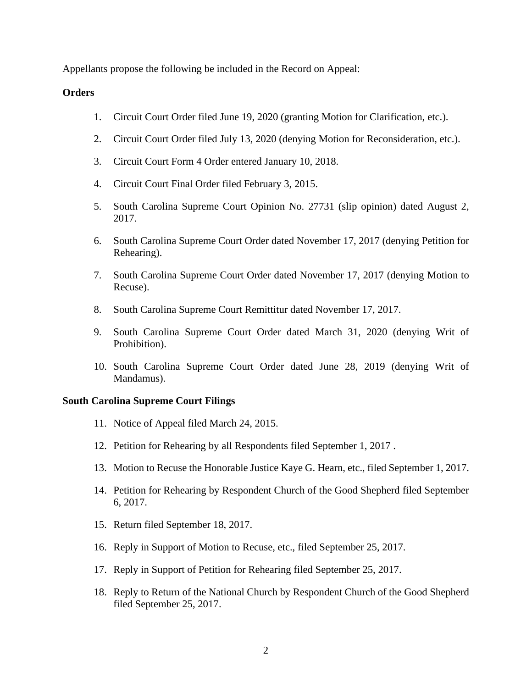Appellants propose the following be included in the Record on Appeal:

## **Orders**

- 1. Circuit Court Order filed June 19, 2020 (granting Motion for Clarification, etc.).
- 2. Circuit Court Order filed July 13, 2020 (denying Motion for Reconsideration, etc.).
- 3. Circuit Court Form 4 Order entered January 10, 2018.
- 4. Circuit Court Final Order filed February 3, 2015.
- 5. South Carolina Supreme Court Opinion No. 27731 (slip opinion) dated August 2, 2017.
- 6. South Carolina Supreme Court Order dated November 17, 2017 (denying Petition for Rehearing).
- 7. South Carolina Supreme Court Order dated November 17, 2017 (denying Motion to Recuse).
- 8. South Carolina Supreme Court Remittitur dated November 17, 2017.
- 9. South Carolina Supreme Court Order dated March 31, 2020 (denying Writ of Prohibition).
- 10. South Carolina Supreme Court Order dated June 28, 2019 (denying Writ of Mandamus).

#### **South Carolina Supreme Court Filings**

- 11. Notice of Appeal filed March 24, 2015.
- 12. Petition for Rehearing by all Respondents filed September 1, 2017 .
- 13. Motion to Recuse the Honorable Justice Kaye G. Hearn, etc., filed September 1, 2017.
- 14. Petition for Rehearing by Respondent Church of the Good Shepherd filed September 6, 2017.
- 15. Return filed September 18, 2017.
- 16. Reply in Support of Motion to Recuse, etc., filed September 25, 2017.
- 17. Reply in Support of Petition for Rehearing filed September 25, 2017.
- 18. Reply to Return of the National Church by Respondent Church of the Good Shepherd filed September 25, 2017.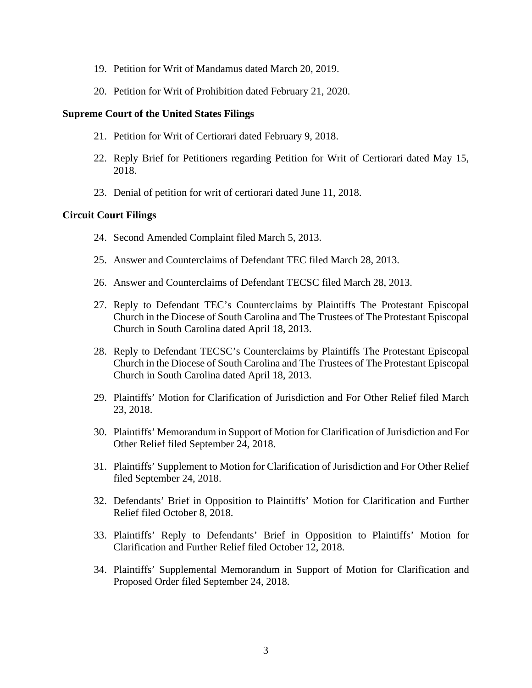- 19. Petition for Writ of Mandamus dated March 20, 2019.
- 20. Petition for Writ of Prohibition dated February 21, 2020.

### **Supreme Court of the United States Filings**

- 21. Petition for Writ of Certiorari dated February 9, 2018.
- 22. Reply Brief for Petitioners regarding Petition for Writ of Certiorari dated May 15, 2018.
- 23. Denial of petition for writ of certiorari dated June 11, 2018.

## **Circuit Court Filings**

- 24. Second Amended Complaint filed March 5, 2013.
- 25. Answer and Counterclaims of Defendant TEC filed March 28, 2013.
- 26. Answer and Counterclaims of Defendant TECSC filed March 28, 2013.
- 27. Reply to Defendant TEC's Counterclaims by Plaintiffs The Protestant Episcopal Church in the Diocese of South Carolina and The Trustees of The Protestant Episcopal Church in South Carolina dated April 18, 2013.
- 28. Reply to Defendant TECSC's Counterclaims by Plaintiffs The Protestant Episcopal Church in the Diocese of South Carolina and The Trustees of The Protestant Episcopal Church in South Carolina dated April 18, 2013.
- 29. Plaintiffs' Motion for Clarification of Jurisdiction and For Other Relief filed March 23, 2018.
- 30. Plaintiffs' Memorandum in Support of Motion for Clarification of Jurisdiction and For Other Relief filed September 24, 2018.
- 31. Plaintiffs' Supplement to Motion for Clarification of Jurisdiction and For Other Relief filed September 24, 2018.
- 32. Defendants' Brief in Opposition to Plaintiffs' Motion for Clarification and Further Relief filed October 8, 2018.
- 33. Plaintiffs' Reply to Defendants' Brief in Opposition to Plaintiffs' Motion for Clarification and Further Relief filed October 12, 2018.
- 34. Plaintiffs' Supplemental Memorandum in Support of Motion for Clarification and Proposed Order filed September 24, 2018.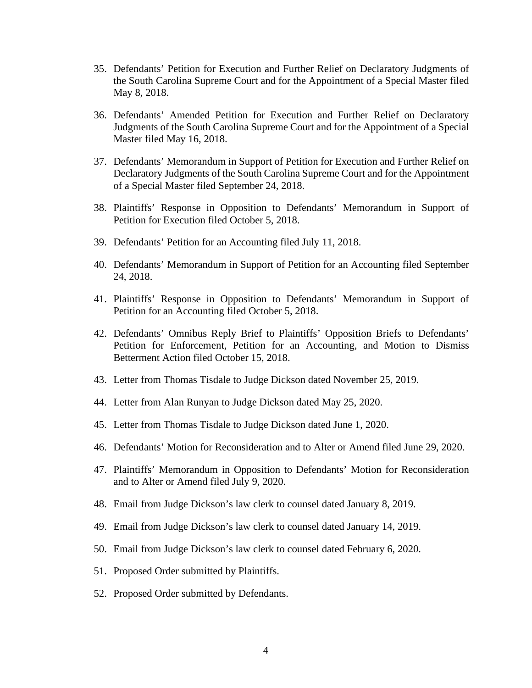- 35. Defendants' Petition for Execution and Further Relief on Declaratory Judgments of the South Carolina Supreme Court and for the Appointment of a Special Master filed May 8, 2018.
- 36. Defendants' Amended Petition for Execution and Further Relief on Declaratory Judgments of the South Carolina Supreme Court and for the Appointment of a Special Master filed May 16, 2018.
- 37. Defendants' Memorandum in Support of Petition for Execution and Further Relief on Declaratory Judgments of the South Carolina Supreme Court and for the Appointment of a Special Master filed September 24, 2018.
- 38. Plaintiffs' Response in Opposition to Defendants' Memorandum in Support of Petition for Execution filed October 5, 2018.
- 39. Defendants' Petition for an Accounting filed July 11, 2018.
- 40. Defendants' Memorandum in Support of Petition for an Accounting filed September 24, 2018.
- 41. Plaintiffs' Response in Opposition to Defendants' Memorandum in Support of Petition for an Accounting filed October 5, 2018.
- 42. Defendants' Omnibus Reply Brief to Plaintiffs' Opposition Briefs to Defendants' Petition for Enforcement, Petition for an Accounting, and Motion to Dismiss Betterment Action filed October 15, 2018.
- 43. Letter from Thomas Tisdale to Judge Dickson dated November 25, 2019.
- 44. Letter from Alan Runyan to Judge Dickson dated May 25, 2020.
- 45. Letter from Thomas Tisdale to Judge Dickson dated June 1, 2020.
- 46. Defendants' Motion for Reconsideration and to Alter or Amend filed June 29, 2020.
- 47. Plaintiffs' Memorandum in Opposition to Defendants' Motion for Reconsideration and to Alter or Amend filed July 9, 2020.
- 48. Email from Judge Dickson's law clerk to counsel dated January 8, 2019.
- 49. Email from Judge Dickson's law clerk to counsel dated January 14, 2019.
- 50. Email from Judge Dickson's law clerk to counsel dated February 6, 2020.
- 51. Proposed Order submitted by Plaintiffs.
- 52. Proposed Order submitted by Defendants.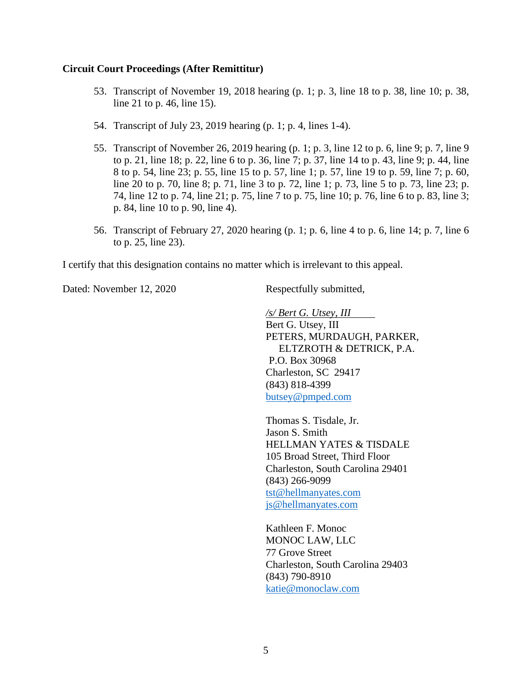#### **Circuit Court Proceedings (After Remittitur)**

- 53. Transcript of November 19, 2018 hearing (p. 1; p. 3, line 18 to p. 38, line 10; p. 38, line 21 to p. 46, line 15).
- 54. Transcript of July 23, 2019 hearing (p. 1; p. 4, lines 1-4).
- 55. Transcript of November 26, 2019 hearing (p. 1; p. 3, line 12 to p. 6, line 9; p. 7, line 9 to p. 21, line 18; p. 22, line 6 to p. 36, line 7; p. 37, line 14 to p. 43, line 9; p. 44, line 8 to p. 54, line 23; p. 55, line 15 to p. 57, line 1; p. 57, line 19 to p. 59, line 7; p. 60, line 20 to p. 70, line 8; p. 71, line 3 to p. 72, line 1; p. 73, line 5 to p. 73, line 23; p. 74, line 12 to p. 74, line 21; p. 75, line 7 to p. 75, line 10; p. 76, line 6 to p. 83, line 3; p. 84, line 10 to p. 90, line 4).
- 56. Transcript of February 27, 2020 hearing (p. 1; p. 6, line 4 to p. 6, line 14; p. 7, line 6 to p. 25, line 23).

I certify that this designation contains no matter which is irrelevant to this appeal.

Dated: November 12, 2020 Respectfully submitted,

*/s/ Bert G. Utsey, III* Bert G. Utsey, III PETERS, MURDAUGH, PARKER, ELTZROTH & DETRICK, P.A. P.O. Box 30968 Charleston, SC 29417 (843) 818-4399 [butsey@pmped.com](mailto:butsey@pmped.com)

Thomas S. Tisdale, Jr. Jason S. Smith HELLMAN YATES & TISDALE 105 Broad Street, Third Floor Charleston, South Carolina 29401 (843) 266-9099 [tst@hellmanyates.com](mailto:tst@hellmanyates.com) [js@hellmanyates.com](mailto:js@hellmanyates.com)

Kathleen F. Monoc MONOC LAW, LLC 77 Grove Street Charleston, South Carolina 29403 (843) 790-8910 [katie@monoclaw.com](mailto:katie@monoclaw.com)